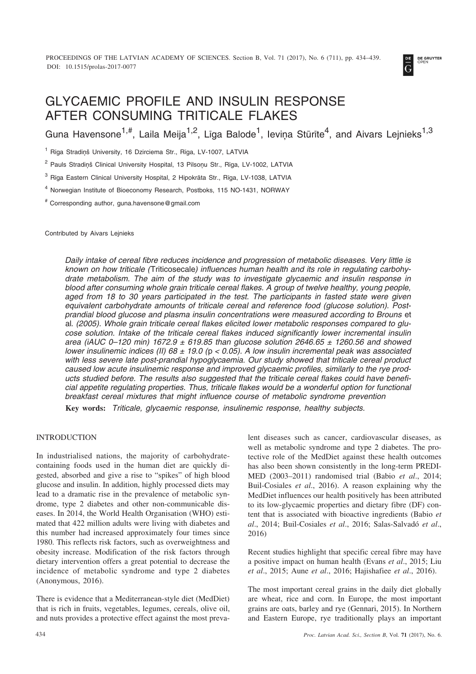

# GLYCAEMIC PROFILE AND INSULIN RESPONSE AFTER CONSUMING TRITICALE FLAKES

Guna Havensone<sup>1,#</sup>, Laila Meija<sup>1,2</sup>, Līga Balode<sup>1</sup>, Ieviņa Stūrīte<sup>4</sup>, and Aivars Lejnieks<sup>1,3</sup>

<sup>1</sup> Rīga Stradiņš University, 16 Dzirciema Str., Rīga, LV-1007, LATVIA

<sup>2</sup> Pauls Stradinš Clinical University Hospital, 13 Pilsonu Str., Rīga, LV-1002, LATVIA

<sup>3</sup> Rîga Eastern Clinical University Hospital, 2 Hipokrâta Str., Rîga, LV-1038, LATVIA

<sup>4</sup> Norwegian Institute of Bioeconomy Research, Postboks, 115 NO-1431, NORWAY

# Corresponding author, guna.havensone@gmail.com

Contributed by Aivars Lejnieks

*Daily intake of cereal fibre reduces incidence and progression of metabolic diseases. Very little is known on how triticale (*Triticosecale*) influences human health and its role in regulating carbohydrate metabolism. The aim of the study was to investigate glycaemic and insulin response in blood after consuming whole grain triticale cereal flakes. A group of twelve healthy, young people, aged from 18 to 30 years participated in the test. The participants in fasted state were given equivalent carbohydrate amounts of triticale cereal and reference food (glucose solution). Postprandial blood glucose and plasma insulin concentrations were measured according to Brouns* et al*. (2005). Whole grain triticale cereal flakes elicited lower metabolic responses compared to glucose solution. Intake of the triticale cereal flakes induced significantly lower incremental insulin area (iAUC 0–120 min) 1672.9 ± 619.85 than glucose solution 2646.65 ± 1260.56 and showed lower insulinemic indices (II) 68 ± 19.0 (*p *< 0.05). A low insulin incremental peak was associated with less severe late post-prandial hypoglycaemia. Our study showed that triticale cereal product caused low acute insulinemic response and improved glycaemic profiles, similarly to the rye products studied before. The results also suggested that the triticale cereal flakes could have beneficial appetite regulating properties. Thus, triticale flakes would be a wonderful option for functional breakfast cereal mixtures that might influence course of metabolic syndrome prevention* **Key words:** *Triticale, glycaemic response, insulinemic response, healthy subjects.*

## INTRODUCTION

In industrialised nations, the majority of carbohydratecontaining foods used in the human diet are quickly digested, absorbed and give a rise to "spikes" of high blood glucose and insulin. In addition, highly processed diets may lead to a dramatic rise in the prevalence of metabolic syndrome, type 2 diabetes and other non-communicable diseases. In 2014, the World Health Organisation (WHO) estimated that 422 million adults were living with diabetes and this number had increased approximately four times since 1980. This reflects risk factors, such as overweightness and obesity increase. Modification of the risk factors through dietary intervention offers a great potential to decrease the incidence of metabolic syndrome and type 2 diabetes (Anonymous, 2016).

There is evidence that a Mediterranean-style diet (MedDiet) that is rich in fruits, vegetables, legumes, cereals, olive oil, and nuts provides a protective effect against the most prevalent diseases such as cancer, cardiovascular diseases, as well as metabolic syndrome and type 2 diabetes. The protective role of the MedDiet against these health outcomes has also been shown consistently in the long-term PREDI-MED (2003–2011) randomised trial (Babio *et al*., 2014; Buil-Cosiales *et al*., 2016). A reason explaining why the MedDiet influences our health positively has been attributed to its low-glycaemic properties and dietary fibre (DF) content that is associated with bioactive ingredients (Babio *et al*., 2014; Buil-Cosiales *et al*., 2016; Salas-Salvadó *et al*., 2016)

Recent studies highlight that specific cereal fibre may have a positive impact on human health (Evans *et al*., 2015; Liu *et al*., 2015; Aune *et al*., 2016; Hajishafiee *et al*., 2016).

The most important cereal grains in the daily diet globally are wheat, rice and corn. In Europe, the most important grains are oats, barley and rye (Gennari, 2015). In Northern and Eastern Europe, rye traditionally plays an important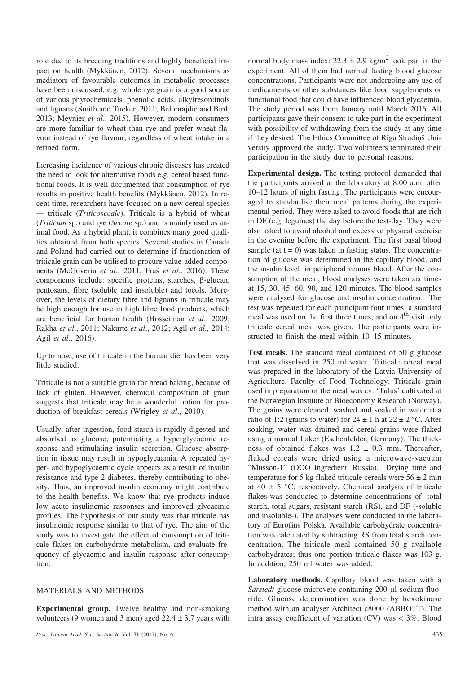role due to its breeding traditions and highly beneficial impact on health (Mykkänen, 2012). Several mechanisms as mediators of favourable outcomes in metabolic processes have been discussed, e.g. whole rye grain is a good source of various phytochemicals, phenolic acids, alkylresorcinols and lignans (Smith and Tucker, 2011; Belobrajdic and Bird, 2013; Meynier *et al*., 2015). However, modern consumers are more familiar to wheat than rye and prefer wheat flavour instead of rye flavour, regardless of wheat intake in a refined form.

Increasing incidence of various chronic diseases has created the need to look for alternative foods e.g. cereal based functional foods. It is well documented that consumption of rye results in positive health benefits (Mykkänen, 2012). In recent time, researchers have focused on a new cereal species — triticale (*Triticosecale*). Triticale is a hybrid of wheat (*Triticum* sp.) and rye (*Secale* sp.) and is mainly used as animal food. As a hybrid plant, it combines many good qualities obtained from both species. Several studies in Canada and Poland had carried out to determine if fractionation of triticale grain can be utilised to procure value-added components (McGoverin *et al*., 2011; Fraú *et al*., 2016). These components include: specific proteins, starches,  $\beta$ -glucan, pentosans, fibre (soluble and insoluble) and tocols. Moreover, the levels of dietary fibre and lignans in triticale may be high enough for use in high fibre food products, which are beneficial for human health (Hosseinian *et al*., 2009; Rakha *et al*., 2011; Nakurte *et al*., 2012; Agil *et al*., 2014; Agil *et al*., 2016).

Up to now, use of triticale in the human diet has been very little studied.

Triticale is not a suitable grain for bread baking, because of lack of gluten. However, chemical composition of grain suggests that triticale may be a wonderful option for production of breakfast cereals (Wrigley *et al*., 2010).

Usually, after ingestion, food starch is rapidly digested and absorbed as glucose, potentiating a hyperglycaemic response and stimulating insulin secretion. Glucose absorption in tissue may result in hypoglycaemia. A repeated hyper- and hypoglycaemic cycle appears as a result of insulin resistance and type 2 diabetes, thereby contributing to obesity. Thus, an improved insulin economy might contribute to the health benefits. We know that rye products induce low acute insulinemic responses and improved glycaemic profiles. The hypothesis of our study was that triticale has insulinemic response similar to that of rye. The aim of the study was to investigate the effect of consumption of triticale flakes on carbohydrate metabolism, and evaluate frequency of glycaemic and insulin response after consumption.

## MATERIALS AND METHODS

**Experimental group.** Twelve healthy and non-smoking volunteers (9 women and 3 men) aged  $22.4 \pm 3.7$  years with normal body mass index:  $22.3 \pm 2.9$  kg/m<sup>2</sup> took part in the experiment. All of them had normal fasting blood glucose concentrations. Participants were not undergoing any use of medicaments or other substances like food supplements or functional food that could have influenced blood glycaemia. The study period was from January until March 2016. All participants gave their consent to take part in the experiment with possibility of withdrawing from the study at any time if they desired. The Ethics Committee of Rīga Stradiņš University approved the study. Two volunteers terminated their participation in the study due to personal reasons.

**Experimental design.** The testing protocol demanded that the participants arrived at the laboratory at 8:00 a.m. after 10–12 hours of night fasting. The participants were encouraged to standardise their meal patterns during the experimental period. They were asked to avoid foods that are rich in DF (e.g. legumes) the day before the test-day. They were also asked to avoid alcohol and excessive physical exercise in the evening before the experiment. The first basal blood sample (at  $t = 0$ ) was taken in fasting status. The concentration of glucose was determined in the capillary blood, and the insulin level in peripheral venous blood. After the consumption of the meal, blood analyses were taken six times at 15, 30, 45, 60, 90, and 120 minutes. The blood samples were analysed for glucose and insulin concentration. The test was repeated for each participant four times: a standard meal was used on the first three times, and on  $4<sup>th</sup>$  visit only triticale cereal meal was given. The participants were instructed to finish the meal within 10–15 minutes.

**Test meals.** The standard meal contained of 50 g glucose that was dissolved in 250 ml water. Triticale cereal meal was prepared in the laboratory of the Latvia University of Agriculture, Faculty of Food Technology. Triticale grain used in preparation of the meal was cv. 'Tulus' cultivated at the Norwegian Institute of Bioeconomy Research (Norway). The grains were cleaned, washed and soaked in water at a ratio of 1:2 (grains to water) for  $24 \pm 1$  h at  $22 \pm 2$  °C. After soaking, water was drained and cereal grains were flaked using a manual flaker (Eschenfelder, Germany). The thickness of obtained flakes was  $1.2 \pm 0.3$  mm. Thereafter, flaked cereals were dried using a microwave-vacuum "Musson-1" (OOO Ingredient, Russia). Drying time and temperature for 5 kg flaked triticale cereals were  $56 \pm 2$  min at  $40 \pm 5$  °C, respectively. Chemical analysis of triticale flakes was conducted to determine concentrations of total starch, total sugars, resistant starch (RS), and DF (-soluble and insoluble-). The analyses were conducted in the laboratory of Eurofins Polska. Available carbohydrate concentration was calculated by subtracting RS from total starch concentration. The triticale meal contained 50 g available carbohydrates; thus one portion triticale flakes was 103 g. In addition, 250 ml water was added.

**Laboratory methods.** Capillary blood was taken with a *Sarstedt* glucose microvete containing 200 µl sodium fluoride. Glucose determination was done by hexokinase method with an analyser Architect c8000 (ABBOTT). The intra assay coefficient of variation  $(CV)$  was  $\lt 3\%$ . Blood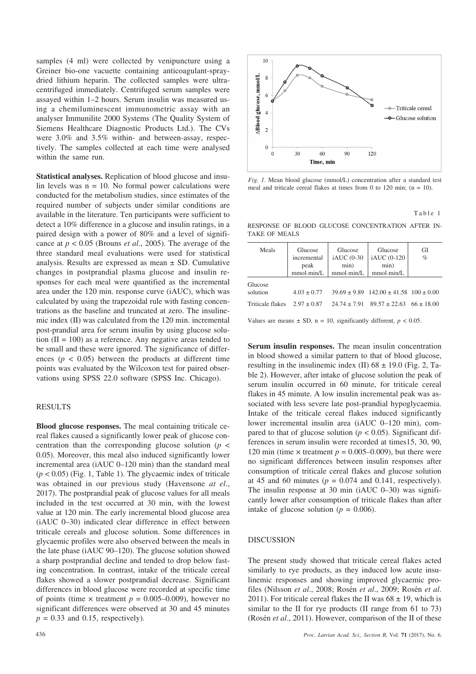samples (4 ml) were collected by venipuncture using a Greiner bio-one vacuette containing anticoagulant-spraydried lithium heparin. The collected samples were ultracentrifuged immediately. Centrifuged serum samples were assayed within 1–2 hours. Serum insulin was measured using a chemiluminescent immunometric assay with an analyser Immunilite 2000 Systems (The Quality System of Siemens Healthcare Diagnostic Products Ltd.). The CVs were 3.0% and 3.5% within- and between-assay, respectively. The samples collected at each time were analysed within the same run.

**Statistical analyses.** Replication of blood glucose and insulin levels was  $n = 10$ . No formal power calculations were conducted for the metabolism studies, since estimates of the required number of subjects under similar conditions are available in the literature. Ten participants were sufficient to detect a 10% difference in a glucose and insulin ratings, in a paired design with a power of 80% and a level of significance at *p* < 0.05 (Brouns *et al*., 2005). The average of the three standard meal evaluations were used for statistical analysis. Results are expressed as mean  $\pm$  SD. Cumulative changes in postprandial plasma glucose and insulin responses for each meal were quantified as the incremental area under the 120 min. response curve (iAUC), which was calculated by using the trapezoidal rule with fasting concentrations as the baseline and truncated at zero. The insulinemic index (II) was calculated from the 120 min. incremental post-prandial area for serum insulin by using glucose solution ( $II = 100$ ) as a reference. Any negative areas tended to be small and these were ignored. The significance of differences ( $p < 0.05$ ) between the products at different time points was evaluated by the Wilcoxon test for paired observations using SPSS 22.0 software (SPSS Inc. Chicago).

## RESULTS

**Blood glucose responses.** The meal containing triticale cereal flakes caused a significantly lower peak of glucose concentration than the corresponding glucose solution (*p* < 0.05). Moreover, this meal also induced significantly lower incremental area (iAUC 0–120 min) than the standard meal  $(p < 0.05)$  (Fig. 1, Table 1). The glycaemic index of triticale was obtained in our previous study (Havensone *at el*., 2017). The postprandial peak of glucose values for all meals included in the test occurred at 30 min, with the lowest value at 120 min. The early incremental blood glucose area (iAUC 0–30) indicated clear difference in effect between triticale cereals and glucose solution. Some differences in glycaemic profiles were also observed between the meals in the late phase (iAUC 90–120). The glucose solution showed a sharp postprandial decline and tended to drop below fasting concentration. In contrast, intake of the triticale cereal flakes showed a slower postprandial decrease. Significant differences in blood glucose were recorded at specific time of points (time  $\times$  treatment  $p = 0.005{\text -}0.009$ ), however no significant differences were observed at 30 and 45 minutes  $p = 0.33$  and 0.15, respectively).



*Fig. 1*. Mean blood glucose (mmol/L) concentration after a standard test meal and triticale cereal flakes at times from 0 to 120 min;  $(n = 10)$ .

Table 1

RESPONSE OF BLOOD GLUCOSE CONCENTRATION AFTER IN-TAKE OF MEALS

| Meals               | Glucose<br>incremental<br>peak<br>mmol·min/L | Glucose<br>iAUC (0-30<br>min)<br>mmol·min/L | Glucose<br>iAUC (0-120<br>min)<br>mmol·min/L       | GI<br>$\%$ |
|---------------------|----------------------------------------------|---------------------------------------------|----------------------------------------------------|------------|
| Glucose<br>solution | $4.03 \pm 0.77$                              |                                             | $39.69 \pm 9.89$ $142.00 \pm 41.58$ $100 \pm 0.00$ |            |
| Triticale flakes    | $2.97 \pm 0.87$                              | $24.74 \pm 7.91$                            | $89.57 \pm 22.63$ $66 \pm 18.00$                   |            |

Values are means  $\pm$  SD, n = 10, significantly different,  $p < 0.05$ .

**Serum insulin responses.** The mean insulin concentration in blood showed a similar pattern to that of blood glucose, resulting in the insulinemic index (II)  $68 \pm 19.0$  (Fig. 2, Table 2). However, after intake of glucose solution the peak of serum insulin occurred in 60 minute, for triticale cereal flakes in 45 minute. A low insulin incremental peak was associated with less severe late post-prandial hypoglycaemia. Intake of the triticale cereal flakes induced significantly lower incremental insulin area (iAUC 0–120 min), compared to that of glucose solution ( $p < 0.05$ ). Significant differences in serum insulin were recorded at times15, 30, 90, 120 min (time  $\times$  treatment  $p = 0.005-0.009$ ), but there were no significant differences between insulin responses after consumption of triticale cereal flakes and glucose solution at 45 and 60 minutes ( $p = 0.074$  and 0.141, respectively). The insulin response at 30 min (iAUC 0–30) was significantly lower after consumption of triticale flakes than after intake of glucose solution ( $p = 0.006$ ).

## DISCUSSION

The present study showed that triticale cereal flakes acted similarly to rye products, as they induced low acute insulinemic responses and showing improved glycaemic profiles (Nilsson *et al*., 2008; Rosén *et al*., 2009; Rosén *et al*. 2011). For triticale cereal flakes the II was  $68 \pm 19$ , which is similar to the II for rye products (II range from 61 to 73) (Rosén *et al*., 2011). However, comparison of the II of these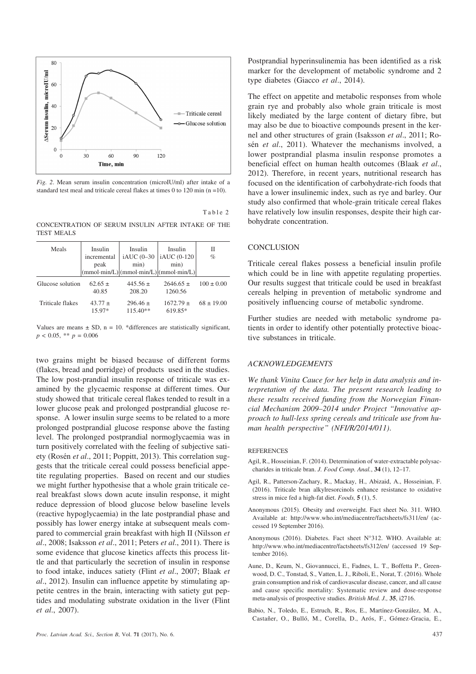

*Fig. 2*. Mean serum insulin concentration (microIU/ml) after intake of a standard test meal and triticale cereal flakes at times 0 to 120 min  $(n = 10)$ .

Table 2 CONCENTRATION OF SERUM INSULIN AFTER INTAKE OF THE TEST MEALS

| Meals            | Insulin<br>incremental | Insulin<br>iAUC (0-30)     | Insulin<br>$iAUC$ (0-120)                   | П<br>$\%$      |
|------------------|------------------------|----------------------------|---------------------------------------------|----------------|
|                  | peak                   | min)                       | min)                                        |                |
|                  |                        |                            | $(mmol·min/L)  (mmol·min/L)  (mmol·min/L) $ |                |
| Glucose solution | $62.65 +$<br>40.85     | $445.56 \pm$<br>208.20     | $2646.65 \pm$<br>1260.56                    | $100 \pm 0.00$ |
| Triticale flakes | $43.77 \pm$<br>15.97*  | $296.46 \pm$<br>$115.40**$ | $1672.79 \pm$<br>619.85*                    | $68 \pm 19.00$ |

Values are means  $\pm$  SD, n = 10. \*differences are statistically significant,  $p < 0.05$ , \*\*  $p = 0.006$ 

two grains might be biased because of different forms (flakes, bread and porridge) of products used in the studies. The low post-prandial insulin response of triticale was examined by the glycaemic response at different times. Our study showed that triticale cereal flakes tended to result in a lower glucose peak and prolonged postprandial glucose response. A lower insulin surge seems to be related to a more prolonged postprandial glucose response above the fasting level. The prolonged postprandial normoglycaemia was in turn positively correlated with the feeling of subjective satiety (Rosén *et al*., 2011; Poppitt, 2013). This correlation suggests that the triticale cereal could possess beneficial appetite regulating properties. Based on recent and our studies we might further hypothesise that a whole grain triticale cereal breakfast slows down acute insulin response, it might reduce depression of blood glucose below baseline levels (reactive hypoglycaemia) in the late postprandial phase and possibly has lower energy intake at subsequent meals compared to commercial grain breakfast with high II (Nilsson *et al*., 2008; Isaksson *et al*., 2011; Peters *et al*., 2011). There is some evidence that glucose kinetics affects this process little and that particularly the secretion of insulin in response to food intake, induces satiety (Flint *et al*., 2007; Blaak *et al*., 2012). Insulin can influence appetite by stimulating appetite centres in the brain, interacting with satiety gut peptides and modulating substrate oxidation in the liver (Flint *et al*., 2007).

Postprandial hyperinsulinemia has been identified as a risk marker for the development of metabolic syndrome and 2 type diabetes (Giacco *et al*., 2014).

The effect on appetite and metabolic responses from whole grain rye and probably also whole grain triticale is most likely mediated by the large content of dietary fibre, but may also be due to bioactive compounds present in the kernel and other structures of grain (Isaksson *et al*., 2011; Rosén *et al*., 2011). Whatever the mechanisms involved, a lower postprandial plasma insulin response promotes a beneficial effect on human health outcomes (Blaak *et al*., 2012). Therefore, in recent years, nutritional research has focused on the identification of carbohydrate-rich foods that have a lower insulinemic index, such as rye and barley. Our study also confirmed that whole-grain triticale cereal flakes have relatively low insulin responses, despite their high carbohydrate concentration.

#### **CONCLUSION**

Triticale cereal flakes possess a beneficial insulin profile which could be in line with appetite regulating properties. Our results suggest that triticale could be used in breakfast cereals helping in prevention of metabolic syndrome and positively influencing course of metabolic syndrome.

Further studies are needed with metabolic syndrome patients in order to identify other potentially protective bioactive substances in triticale.

### *ACKNOWLEDGEMENTS*

*We thank Vinita Cauce for her help in data analysis and interpretation of the data. The present research leading to these results received funding from the Norwegian Financial Mechanism 2009–2014 under Project "Innovative approach to hull-less spring cereals and triticale use from human health perspective" (NFI/R/2014/011)*.

#### **REFERENCES**

- Agil, R., Hosseinian, F. (2014). Determination of water-extractable polysaccharides in triticale bran. *J. Food Comp. Anal.*, **34** (1), 12–17.
- Agil, R., Patterson-Zachary, R., Mackay, H., Abizaid, A., Hosseinian, F. (2016). Triticale bran alkylresorcinols enhance resistance to oxidative stress in mice fed a high-fat diet. *Foods,* **5** (1), 5.
- Anonymous (2015). Obesity and overweight. Fact sheet No. 311. WHO. Available at: http://www.who.int/mediacentre/factsheets/fs311/en/ (accessed 19 September 2016).
- Anonymous (2016). Diabetes. Fact sheet N°312. WHO. Available at: http://www.who.int/mediacentre/factsheets/fs312/en/ (accessed 19 September 2016).
- Aune, D., Keum, N., Giovannucci, E., Fadnes, L. T., Boffetta P., Greenwood, D. C., Tonstad, S., Vatten, L. J., Riboli, E., Norat, T. (2016). Whole grain consumption and risk of cardiovascular disease, cancer, and all cause and cause specific mortality: Systematic review and dose-response meta-analysis of prospective studies. *British Med. J.,* **35**, i2716.
- Babio, N., Toledo, E., Estruch, R., Ros, E., Martínez-González, M. A., Castañer, O., Bulló, M., Corella, D., Arós, F., Gómez-Gracia, E.,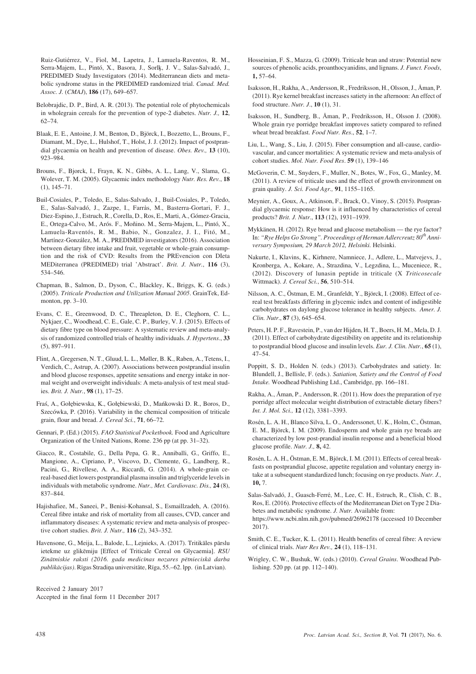Ruiz-Gutiérrez, V., Fiol, M., Lapetra, J., Lamuela-Raventos, R. M., Serra-Majem, L., Pintó, X., Basora, J., Sorlk, J. V., Salas-Salvadó, J., PREDIMED Study Investigators (2014). Mediterranean diets and metabolic syndrome status in the PREDIMED randomized trial. *Canad. Med. Assoc. J.* (*CMAJ*), **186** (17), 649–657.

Belobrajdic, D. P., Bird, A. R. (2013). The potential role of phytochemicals in wholegrain cereals for the prevention of type-2 diabetes. *Nutr. J.,* **12**, 62–74.

- Blaak, E. E., Antoine, J. M., Benton, D., Björck, I., Bozzetto, L., Brouns, F., Diamant, M., Dye, L., Hulshof, T., Holst, J. J. (2012). Impact of postprandial glycaemia on health and prevention of disease. *Obes. Rev.,* **13** (10), 923–984.
- Brouns, F., Bjorck, I., Frayn, K. N., Gibbs, A. L., Lang, V., Slama, G., Wolever, T. M. (2005). Glycaemic index methodology *Nutr. Res. Rev.*, **18** (1), 145–71.
- Buil-Cosiales, P., Toledo, E., Salas-Salvado, J., Buil-Cosiales, P., Toledo, E., Salas-Salvadó, J., Zazpe, I., Farràs, M., Basterra-Gortari, F. J., Diez-Espino, J., Estruch, R., Corella, D., Ros, E., Marti, A., Gómez-Gracia, E., Ortega-Calvo, M., Arós. F., Moñino. M., Serra-Majem, L., Pintó, X., Lamuela-Raventós, R. M., Babio, N., Gonzalez, J. I., Fitó, M., Martínez-González, M. A., PREDIMED investigators (2016). Association between dietary fibre intake and fruit, vegetable or whole-grain consumption and the risk of CVD: Results from the PREvencion con DIeta MEDiterranea (PREDIMED) trial 'Abstract'. *Brit. J. Nutr.*, **116** (3), 534–546.
- Chapman, B., Salmon, D., Dyson, C., Blackley, K., Briggs, K. G. (eds.) (2005). *Triticale Production and Utilization Manual 2005*. GrainTek, Edmonton, pp. 3–10.
- Evans, C. E., Greenwood, D. C., Threapleton, D. E., Cleghorn, C. L., Nykjaer, C., Woodhead, C. E., Gale, C. P., Burley, V. J. (2015). Effects of dietary fibre type on blood pressure: A systematic review and meta-analysis of randomized controlled trials of healthy individuals*. J. Hypertens*., **33** (5), 897–911.
- Flint, A., Gregersen, N. T., Gluud, L. L., Møller, B. K., Raben, A., Tetens, I., Verdich, C., Astrup, A. (2007). Associations between postprandial insulin and blood glucose responses, appetite sensations and energy intake in normal weight and overweight individuals: A meta-analysis of test meal studies. *Brit. J. Nutr.*, **98** (1), 17–25.
- Fraś, A., Gołębiewska, K., Gołębiewski, D., Mańkowski D. R., Boros, D., Szecówka, P. (2016). Variability in the chemical composition of triticale grain, flour and bread. *J. Cereal Sci.*, **71**, 66–72.
- Gennari, P. (Ed.) (2015). *FAO Statistical Pocketbook.* Food and Agriculture Organization of the United Nations, Rome. 236 pp (at pp. 31–32).
- Giacco, R., Costabile, G., Della Pepa, G. R., Anniballi, G., Griffo, E., Mangione, A., Cipriano, P., Viscovo, D., Clemente, G., Landberg, R., Pacini, G., Rivellese, A. A., Riccardi, G. (2014). A whole-grain cereal-based diet lowers postprandial plasma insulin and triglyceride levels in individuals with metabolic syndrome. *Nutr., Met. Cardiovasc. Dis.,* **24** (8), 837–844.
- Hajishafiee, M., Saneei, P., Benisi-Kohansal, S., Esmaillzadeh, A. (2016). Cereal fibre intake and risk of mortality from all causes, CVD, cancer and inflammatory diseases: A systematic review and meta-analysis of prospective cohort studies. *Brit. J. Nutr.,* **116** (2), 343–352.
- Havensone, G., Meija, L., Balode, L., Lejnieks, A. (2017). Tritikâles pârslu ietekme uz glikçmiju [Effect of Triticale Cereal on Glycaemia]. *RSU Zinâtniskie raksti (2016. gada medicînas nozares pçtnieciskâ darba publikâcijas)*. Rîgas Stradiòa universitâte, Rîga, 55.–62. lpp. (in Latvian).

Received 2 January 2017 Accepted in the final form 11 December 2017

- Hosseinian, F. S., Mazza, G. (2009). Triticale bran and straw: Potential new sources of phenolic acids, proanthocyanidins, and lignans. *J. Funct. Foods*, **1,** 57–64.
- Isaksson, H., Rakha, A., Andersson, R., Fredriksson, H., Olsson, J., Åman, P. (2011). Rye kernel breakfast increases satiety in the afternoon: An effect of food structure. *Nutr. J*., **10** (1), 31.
- Isaksson, H., Sundberg, B., Åman, P., Fredriksson, H., Olsson J. (2008). Whole grain rye porridge breakfast improves satiety compared to refined wheat bread breakfast. *Food Nutr. Res*., **52**, 1–7.
- Liu, L., Wang, S., Liu, J. (2015). Fiber consumption and all-cause, cardiovascular, and cancer mortalities: A systematic review and meta-analysis of cohort studies. *Mol. Nutr. Food Res*. **59** (1), 139–146
- McGoverin, C. M., Snyders, F., Muller, N., Botes, W., Fox, G., Manley, M. (2011). A review of triticale uses and the effect of growth environment on grain quality. *J. Sci. Food Agr.,* **91**, 1155–1165.
- Meynier, A., Goux, A., Atkinson, F., Brack, O., Vinoy, S. (2015). Postprandial glycaemic response: How is it influenced by characteristics of cereal products? *Brit. J. Nutr*., **113** (12), 1931–1939.
- Mykkänen, H. (2012). Rye bread and glucose metabolism the rye factor? In: *"Rye Helps Go Strong". Proceedings of Herman Adlercreutz 80th Anniversary Symposium, 29 March 2012, Helsinki.* Helsinki.
- Nakurte, I., Klavins, K., Kirhnere, Namniece, J., Adlere, L., Matvejevs, J., Kronberga, A., Kokare, A., Strazdina, V., Legzdina, L., Muceniece, R., (2012). Discovery of lunasin peptide in triticale (X *Triticosecale* Wittmack). *J. Cereal Sci.*, **56**, 510–514.
- Nilsson, A. C., Östman, E. M., Granfeldt, Y., Björck, I. (2008). Effect of cereal test breakfasts differing in glycemic index and content of indigestible carbohydrates on daylong glucose tolerance in healthy subjects. *Amer. J. Clin. Nutr*., **87** (3), 645–654.
- Peters, H. P. F., Ravestein, P., van der Hijden, H. T., Boers, H. M., Mela, D. J. (2011). Effect of carbohydrate digestibility on appetite and its relationship to postprandial blood glucose and insulin levels. *Eur. J. Clin. Nutr.*, **65** (1), 47–54.
- Poppitt, S. D., Holden N. (eds.) (2013). Carbohydrates and satiety. In: Blundell, J., Bellisle, F. (eds.). *Satiation, Satiety and the Control of Food Intake.* Woodhead Publishing Ltd., Cambridge, pp. 166–181.
- Rakha, A., Åman, P., Andersson, R. (2011). How does the preparation of rye porridge affect molecular weight distribution of extractable dietary fibers? *Int. J. Mol. Sci.,* **12** (12), 3381–3393.
- Rosén, L. A. H., Blanco Silva, L. O., Anderssonet, U. K., Holm, C., Östman, E. M., Björck, I. M. (2009). Endosperm and whole grain rye breads are characterized by low post-prandial insulin response and a beneficial blood glucose profile. *Nutr. J.,* **8,** 42.
- Rosén, L. A. H., Östman, E. M., Björck, I. M. (2011). Effects of cereal breakfasts on postprandial glucose, appetite regulation and voluntary energy intake at a subsequent standardized lunch; focusing on rye products. *Nutr. J.,* **10,** 7.
- Salas-Salvadó, J., Guasch-Ferré, M., Lee, C. H., Estruch, R., Clish, C. B., Ros, E. (2016). Protective effects of the Mediterranean Diet on Type 2 Diabetes and metabolic syndrome. *J. Nutr.* Available from: https://www.ncbi.nlm.nih.gov/pubmed/26962178 (accessed 10 December 2017).
- Smith, C. E., Tucker, K. L. (2011). Health benefits of cereal fibre: A review of clinical trials. *Nutr Res Rev.,* **24** (1), 118–131.
- Wrigley, C. W., Bushuk, W. (eds.) (2010). *Cereal Grains*. Woodhead Publishing. 520 pp. (at pp. 112–140).